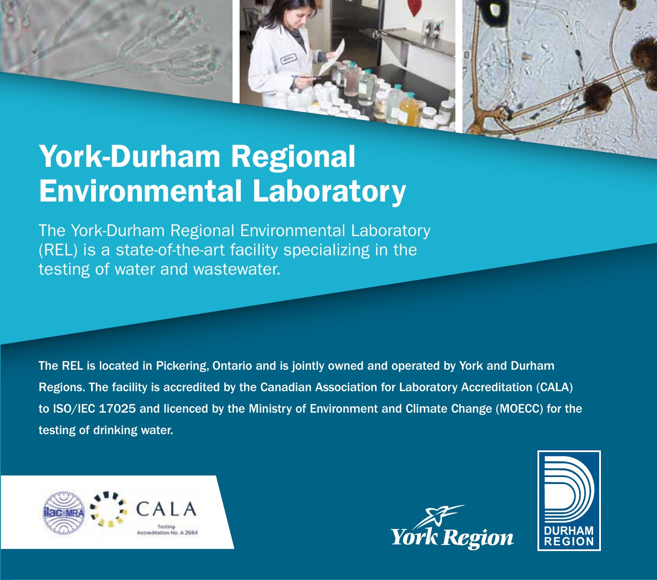



# York-Durham Regional Environmental Laboratory

The York-Durham Regional Environmental Laboratory (REL) is a state-of-the-art facility specializing in the testing of water and wastewater.

The REL is located in Pickering, Ontario and is jointly owned and operated by York and Durham Regions. The facility is accredited by the Canadian Association for Laboratory Accreditation (CALA) to ISO/IEC 17025 and licenced by the Ministry of Environment and Climate Change (MOECC) for the testing of drinking water.





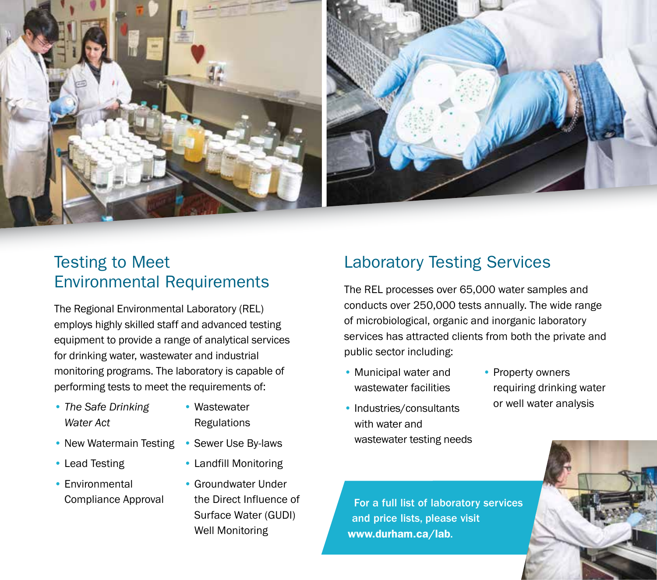



### Testing to Meet Environmental Requirements

The Regional Environmental Laboratory (REL) employs highly skilled staff and advanced testing equipment to provide a range of analytical services for drinking water, wastewater and industrial monitoring programs. The laboratory is capable of performing tests to meet the requirements of:

- *The Safe Drinking*  Wastewater **Water Act** Regulations
- New Watermain Testing Sewer Use By-laws
- 
- Environmental Groundwater Under
- 
- 
- Lead Testing Landfill Monitoring
	- Compliance Approval the Direct Influence of Surface Water (GUDI) Well Monitoring

### Laboratory Testing Services

The REL processes over 65,000 water samples and conducts over 250,000 tests annually. The wide range of microbiological, organic and inorganic laboratory services has attracted clients from both the private and public sector including:

- Municipal water and Property owners
- Industries/consultants or well water analysis with water and wastewater testing needs
- wastewater facilities requiring drinking water

For a full list of laboratory services and price lists, please visit www.durham.ca/lab.

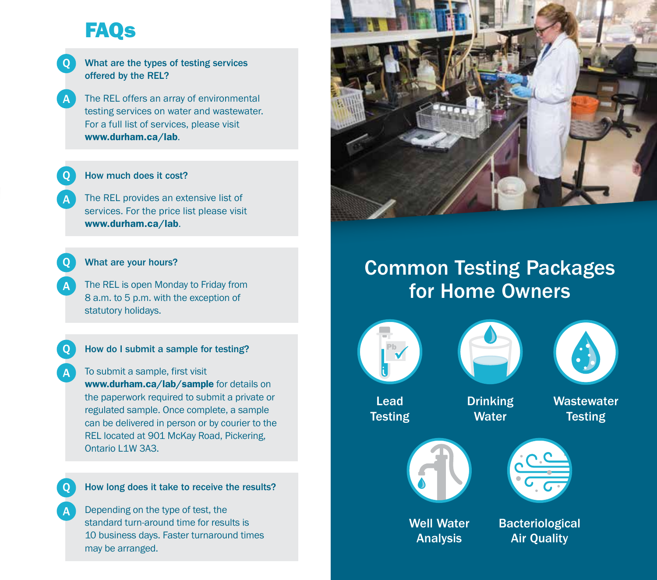# FAQs

#### What are the types of testing services offered by the REL?

The REL offers an array of environmental testing services on water and wastewater. For a full list of services, please visit www.durham.ca/lab.

#### How much does it cost?

The REL provides an extensive list of services. For the price list please visit www.durham.ca/lab.

What are your hours?

The REL is open Monday to Friday from 8 a.m. to 5 p.m. with the exception of statutory holidays.

#### How do I submit a sample for testing?

To submit a sample, first visit www.durham.ca/lab/sample for details on the paperwork required to submit a private or regulated sample. Once complete, a sample can be delivered in person or by courier to the REL located at 901 McKay Road, Pickering, Ontario L1W 3A3.

#### How long does it take to receive the results?

Depending on the type of test, the standard turn-around time for results is 10 business days. Faster turnaround times may be arranged.



## Common Testing Packages for Home Owners







Lead **Testing**  Drinking **Water** 

**Wastewater Testing** 





Well Water Analysis

Bacteriological Air Quality